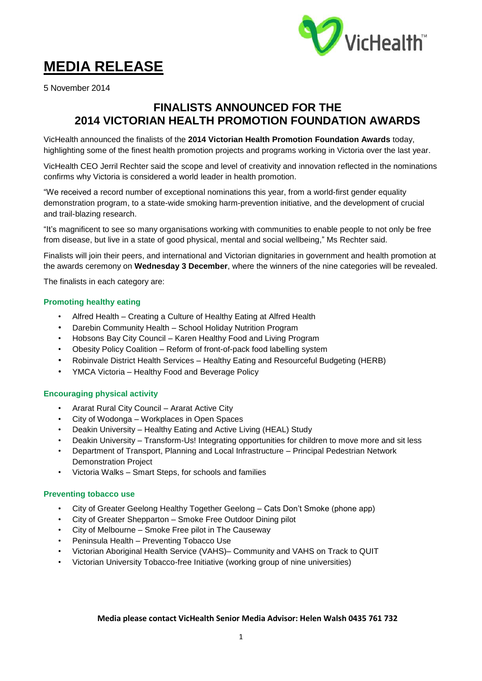

# **MEDIA RELEASE**

5 November 2014

## **FINALISTS ANNOUNCED FOR THE 2014 VICTORIAN HEALTH PROMOTION FOUNDATION AWARDS**

VicHealth announced the finalists of the **2014 Victorian Health Promotion Foundation Awards** today, highlighting some of the finest health promotion projects and programs working in Victoria over the last year.

VicHealth CEO Jerril Rechter said the scope and level of creativity and innovation reflected in the nominations confirms why Victoria is considered a world leader in health promotion.

"We received a record number of exceptional nominations this year, from a world-first gender equality demonstration program, to a state-wide smoking harm-prevention initiative, and the development of crucial and trail-blazing research.

"It's magnificent to see so many organisations working with communities to enable people to not only be free from disease, but live in a state of good physical, mental and social wellbeing," Ms Rechter said.

Finalists will join their peers, and international and Victorian dignitaries in government and health promotion at the awards ceremony on **Wednesday 3 December**, where the winners of the nine categories will be revealed.

The finalists in each category are:

#### **Promoting healthy eating**

- Alfred Health Creating a Culture of Healthy Eating at Alfred Health
- Darebin Community Health School Holiday Nutrition Program
- Hobsons Bay City Council Karen Healthy Food and Living Program
- Obesity Policy Coalition Reform of front-of-pack food labelling system
- Robinvale District Health Services Healthy Eating and Resourceful Budgeting (HERB)
- YMCA Victoria Healthy Food and Beverage Policy

#### **Encouraging physical activity**

- Ararat Rural City Council Ararat Active City
- City of Wodonga Workplaces in Open Spaces
- Deakin University Healthy Eating and Active Living (HEAL) Study
- Deakin University Transform-Us! Integrating opportunities for children to move more and sit less
- Department of Transport, Planning and Local Infrastructure Principal Pedestrian Network Demonstration Project
- Victoria Walks Smart Steps, for schools and families

#### **Preventing tobacco use**

- City of Greater Geelong Healthy Together Geelong Cats Don't Smoke (phone app)
- City of Greater Shepparton Smoke Free Outdoor Dining pilot
- City of Melbourne Smoke Free pilot in The Causeway
- Peninsula Health Preventing Tobacco Use
- Victorian Aboriginal Health Service (VAHS)– Community and VAHS on Track to QUIT
- Victorian University Tobacco-free Initiative (working group of nine universities)

#### **Media please contact VicHealth Senior Media Advisor: Helen Walsh 0435 761 732**